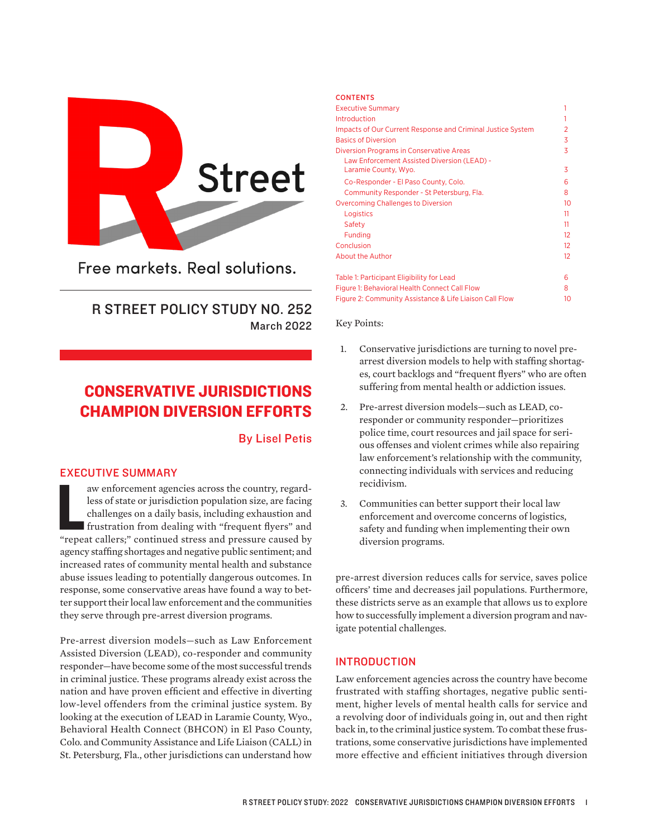

Free markets, Real solutions.

## R STREET POLICY STUDY NO. 252 March 2022

# CONSERVATIVE JURISDICTIONS CHAMPION DIVERSION EFFORTS

### By Lisel Petis

### EXECUTIVE SUMMARY

aw enforcement agencies across the country, regardless of state or jurisdiction population size, are facing challenges on a daily basis, including exhaustion and frustration from dealing with "frequent flyers" and "repeat aw enforcement agencies across the country, regardless of state or jurisdiction population size, are facing challenges on a daily basis, including exhaustion and frustration from dealing with "frequent flyers" and agency staffing shortages and negative public sentiment; and increased rates of community mental health and substance abuse issues leading to potentially dangerous outcomes. In response, some conservative areas have found a way to better support their local law enforcement and the communities they serve through pre-arrest diversion programs.

Pre-arrest diversion models—such as Law Enforcement Assisted Diversion (LEAD), co-responder and community responder—have become some of the most successful trends in criminal justice. These programs already exist across the nation and have proven efficient and effective in diverting low-level offenders from the criminal justice system. By looking at the execution of LEAD in Laramie County, Wyo., Behavioral Health Connect (BHCON) in El Paso County, Colo. and Community Assistance and Life Liaison (CALL) in St. Petersburg, Fla., other jurisdictions can understand how

#### **CONTENTS**

| <b>Executive Summary</b>                                            |                   |
|---------------------------------------------------------------------|-------------------|
| Introduction                                                        |                   |
| Impacts of Our Current Response and Criminal Justice System         | 2                 |
| <b>Basics of Diversion</b>                                          | 3                 |
| <b>Diversion Programs in Conservative Areas</b>                     | 3                 |
| Law Enforcement Assisted Diversion (LEAD) -<br>Laramie County, Wyo. | 3                 |
| Co-Responder - El Paso County, Colo.                                | 6                 |
| Community Responder - St Petersburg, Fla.                           | 8                 |
| <b>Overcoming Challenges to Diversion</b>                           | 10                |
| Logistics                                                           | 11                |
| Safety                                                              | 11                |
| <b>Funding</b>                                                      | $12 \overline{ }$ |
| Conclusion                                                          | $12 \overline{ }$ |
| <b>About the Author</b>                                             | 12 <sup>°</sup>   |
| Table 1: Participant Eligibility for Lead                           | 6                 |
| Figure 1: Behavioral Health Connect Call Flow                       | 8                 |
| Figure 2: Community Assistance & Life Liaison Call Flow             | 10                |

Key Points:

- 1. Conservative jurisdictions are turning to novel prearrest diversion models to help with staffing shortages, court backlogs and "frequent flyers" who are often suffering from mental health or addiction issues.
- 2. Pre-arrest diversion models—such as LEAD, coresponder or community responder—prioritizes police time, court resources and jail space for serious offenses and violent crimes while also repairing law enforcement's relationship with the community, connecting individuals with services and reducing recidivism.
- 3. Communities can better support their local law enforcement and overcome concerns of logistics, safety and funding when implementing their own diversion programs.

pre-arrest diversion reduces calls for service, saves police officers' time and decreases jail populations. Furthermore, these districts serve as an example that allows us to explore how to successfully implement a diversion program and navigate potential challenges.

### INTRODUCTION

Law enforcement agencies across the country have become frustrated with staffing shortages, negative public sentiment, higher levels of mental health calls for service and a revolving door of individuals going in, out and then right back in, to the criminal justice system. To combat these frustrations, some conservative jurisdictions have implemented more effective and efficient initiatives through diversion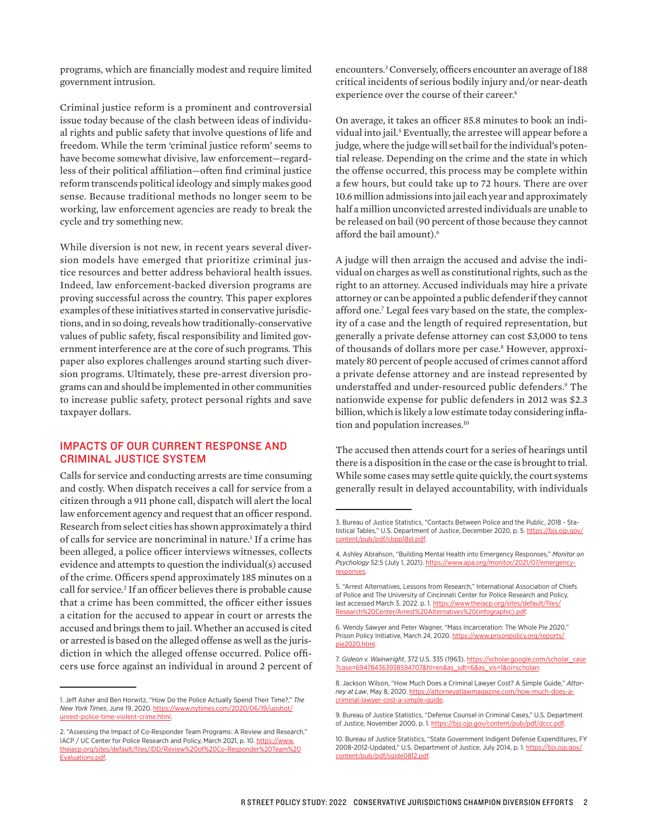programs, which are financially modest and require limited government intrusion.

Criminal justice reform is a prominent and controversial issue today because of the clash between ideas of individual rights and public safety that involve questions of life and freedom. While the term 'criminal justice reform' seems to have become somewhat divisive, law enforcement—regardless of their political affiliation—often find criminal justice reform transcends political ideology and simply makes good sense. Because traditional methods no longer seem to be working, law enforcement agencies are ready to break the cycle and try something new.

While diversion is not new, in recent years several diversion models have emerged that prioritize criminal justice resources and better address behavioral health issues. Indeed, law enforcement-backed diversion programs are proving successful across the country. This paper explores examples of these initiatives started in conservative jurisdictions, and in so doing, reveals how traditionally-conservative values of public safety, fiscal responsibility and limited government interference are at the core of such programs. This paper also explores challenges around starting such diversion programs. Ultimately, these pre-arrest diversion programs can and should be implemented in other communities to increase public safety, protect personal rights and save taxpayer dollars.

### IMPACTS OF OUR CURRENT RESPONSE AND CRIMINAL JUSTICE SYSTEM

Calls for service and conducting arrests are time consuming and costly. When dispatch receives a call for service from a citizen through a 911 phone call, dispatch will alert the local law enforcement agency and request that an officer respond. Research from select cities has shown approximately a third of calls for service are noncriminal in nature.<sup>1</sup> If a crime has been alleged, a police officer interviews witnesses, collects evidence and attempts to question the individual(s) accused of the crime. Officers spend approximately 185 minutes on a call for service.<sup>2</sup> If an officer believes there is probable cause that a crime has been committed, the officer either issues a citation for the accused to appear in court or arrests the accused and brings them to jail. Whether an accused is cited or arrested is based on the alleged offense as well as the jurisdiction in which the alleged offense occurred. Police officers use force against an individual in around 2 percent of

encounters.3 Conversely, officers encounter an average of 188 critical incidents of serious bodily injury and/or near-death experience over the course of their career.<sup>4</sup>

On average, it takes an officer 85.8 minutes to book an individual into jail.5 Eventually, the arrestee will appear before a judge, where the judge will set bail for the individual's potential release. Depending on the crime and the state in which the offense occurred, this process may be complete within a few hours, but could take up to 72 hours. There are over 10.6 million admissions into jail each year and approximately half a million unconvicted arrested individuals are unable to be released on bail (90 percent of those because they cannot afford the bail amount).<sup>6</sup>

A judge will then arraign the accused and advise the individual on charges as well as constitutional rights, such as the right to an attorney. Accused individuals may hire a private attorney or can be appointed a public defenderif they cannot afford one.7 Legal fees vary based on the state, the complexity of a case and the length of required representation, but generally a private defense attorney can cost \$3,000 to tens of thousands of dollars more per case.<sup>8</sup> However, approximately 80 percent of people accused of crimes cannot afford a private defense attorney and are instead represented by understaffed and under-resourced public defenders.9 The nationwide expense for public defenders in 2012 was \$2.3 billion, which is likely a low estimate today considering inflation and population increases.10

The accused then attends court for a series of hearings until there is a disposition in the case or the case is brought to trial. While some cases may settle quite quickly, the court systems generally result in delayed accountability, with individuals

<sup>1.</sup> Jeff Asher and Ben Horwitz, "How Do the Police Actually Spend Their Time?," *The New York Times*, June 19, 2020. [https://www.nytimes.com/2020/06/19/upshot/](https://www.nytimes.com/2020/06/19/upshot/unrest-police-time-violent-crime.html) [unrest-police-time-violent-crime.html](https://www.nytimes.com/2020/06/19/upshot/unrest-police-time-violent-crime.html).

<sup>2. &</sup>quot;Assessing the Impact of Co-Responder Team Programs: A Review and Research," IACP / UC Center for Police Research and Policy, March 2021, p. 10. [https://www.](https://www.theiacp.org/sites/default/files/IDD/Review%20of%20Co-Responder%20Team%20Evaluations.pdf) [theiacp.org/sites/default/files/IDD/Review%20of%20Co-Responder%20Team%20](https://www.theiacp.org/sites/default/files/IDD/Review%20of%20Co-Responder%20Team%20Evaluations.pdf) [Evaluations.pdf](https://www.theiacp.org/sites/default/files/IDD/Review%20of%20Co-Responder%20Team%20Evaluations.pdf).

<sup>3.</sup> Bureau of Justice Statistics, "Contacts Between Police and the Public, 2018 - Statistical Tables," U.S. Department of Justice, December 2020, p. 5. [https://bjs.ojp.gov/](https://bjs.ojp.gov/content/pub/pdf/cbpp18st.pdf) [content/pub/pdf/cbpp18st.pdf.](https://bjs.ojp.gov/content/pub/pdf/cbpp18st.pdf)

<sup>4.</sup> Ashley Abrahson, "Building Mental Health into Emergency Responses," *Monitor on Psychology* 52:5 (July 1, 2021). [https://www.apa.org/monitor/2021/07/emergency](https://www.apa.org/monitor/2021/07/emergency-responses)[responses](https://www.apa.org/monitor/2021/07/emergency-responses).

<sup>5. &</sup>quot;Arrest Alternatives, Lessons from Research," International Association of Chiefs of Police and The University of Cincinnati Center for Police Research and Policy, last accessed March 3, 2022. p. 1. [https://www.theiacp.org/sites/default/files/](https://www.theiacp.org/sites/default/files/Research%20Center/Arrest%20Alternatives%20(infographic).pdf) earch%20Center/Arrest%20Alternatives%20(infographic).pdf.

<sup>6.</sup> Wendy Sawyer and Peter Wagner, "Mass Incarceration: The Whole Pie 2020," Prison Policy Initiative, March 24, 2020. [https://www.prisonpolicy.org/reports/](https://www.prisonpolicy.org/reports/pie2020.html) [pie2020.html](https://www.prisonpolicy.org/reports/pie2020.html).

<sup>7.</sup> *Gideon v. Wainwright*, 372 U.S. 335 (1963). [https://scholar.google.com/scholar\\_case](https://scholar.google.com/scholar_case?case=694784363938594707&hl=en&as_sdt=6&as_vis=1&oi=scholarr) [?case=694784363938594707&hl=en&as\\_sdt=6&as\\_vis=1&oi=scholarr.](https://scholar.google.com/scholar_case?case=694784363938594707&hl=en&as_sdt=6&as_vis=1&oi=scholarr)

<sup>8.</sup> Jackson Wilson, "How Much Does a Criminal Lawyer Cost? A Simple Guide," *Attorney at Law*, May 8, 2020. [https://attorneyatlawmagazine.com/how-much-does-a](https://attorneyatlawmagazine.com/how-much-does-a-criminal-lawyer-cost-a-simple-guide)[criminal-lawyer-cost-a-simple-guide](https://attorneyatlawmagazine.com/how-much-does-a-criminal-lawyer-cost-a-simple-guide).

<sup>9.</sup> Bureau of Justice Statistics, "Defense Counsel in Criminal Cases," U.S. Department of Justice, November 2000, p. 1. https://bjs.ojp.gov/content/pub/pdf/dccc.pdf

<sup>10.</sup> Bureau of Justice Statistics, "State Government Indigent Defense Expenditures, FY 2008-2012-Updated," U.S. Department of Justice, July 2014, p. 1. [https://bjs.ojp.gov/](https://bjs.ojp.gov/content/pub/pdf/sgide0812.pdf) [content/pub/pdf/sgide0812.pdf.](https://bjs.ojp.gov/content/pub/pdf/sgide0812.pdf)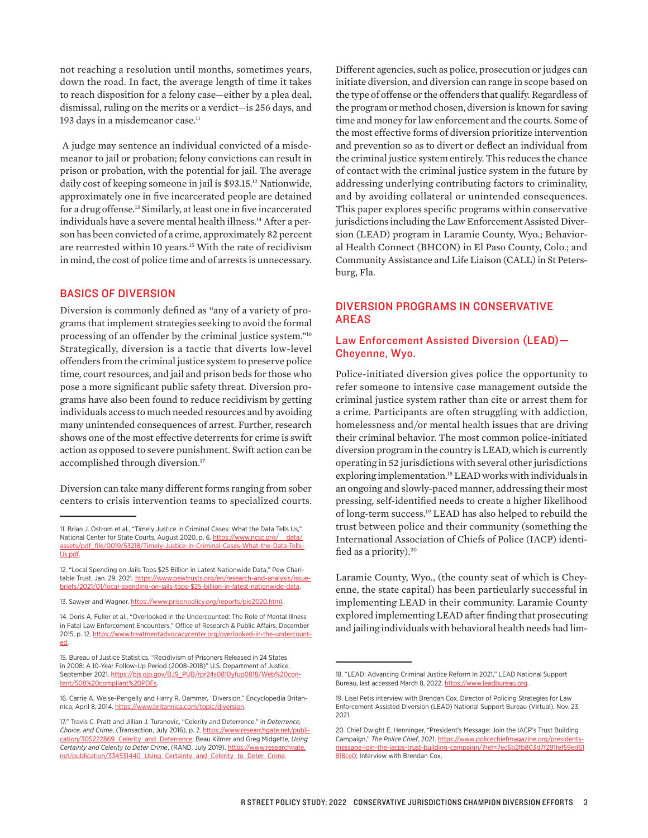not reaching a resolution until months, sometimes years, down the road. In fact, the average length of time it takes to reach disposition for a felony case—either by a plea deal, dismissal, ruling on the merits or a verdict—is 256 days, and 193 days in a misdemeanor case.<sup>11</sup>

 A judge may sentence an individual convicted of a misdemeanor to jail or probation; felony convictions can result in prison or probation, with the potential for jail. The average daily cost of keeping someone in jail is \$93.15.12 Nationwide, approximately one in five incarcerated people are detained for a drug offense.<sup>13</sup> Similarly, at least one in five incarcerated individuals have a severe mental health illness.<sup>14</sup> After a person has been convicted of a crime, approximately 82 percent are rearrested within 10 years.<sup>15</sup> With the rate of recidivism in mind, the cost of police time and of arrests is unnecessary.

### BASICS OF DIVERSION

Diversion is commonly defined as "any of a variety of programs that implement strategies seeking to avoid the formal processing of an offender by the [criminal justice](https://www.britannica.com/topic/criminal-law) system."16 Strategically, diversion is a tactic that diverts low-level offenders from the criminal justice system to preserve police time, court resources, and jail and prison beds for those who pose a more significant public safety threat. Diversion programs have also been found to reduce recidivism by getting individuals access to much needed resources and by avoiding many unintended consequences of arrest. Further, research shows one of the most effective deterrents for crime is swift action as opposed to severe punishment. Swift action can be accomplished through diversion.<sup>17</sup>

Diversion can take many different forms ranging from sober centers to crisis intervention teams to specialized courts. Different agencies, such as police, prosecution or judges can initiate diversion, and diversion can range in scope based on the type of offense or the offenders that qualify. Regardless of the program or method chosen, diversion is known for saving time and money for law enforcement and the courts. Some of the most effective forms of diversion prioritize intervention and prevention so as to divert or deflect an individual from the criminal justice system entirely. This reduces the chance of contact with the criminal justice system in the future by addressing underlying contributing factors to criminality, and by avoiding collateral or unintended consequences. This paper explores specific programs within conservative jurisdictions including the Law Enforcement Assisted Diversion (LEAD) program in Laramie County, Wyo.; Behavioral Health Connect (BHCON) in El Paso County, Colo.; and Community Assistance and Life Liaison (CALL) in St Petersburg, Fla.

### DIVERSION PROGRAMS IN CONSERVATIVE AREAS

### Law Enforcement Assisted Diversion (LEAD)— Cheyenne, Wyo.

Police-initiated diversion gives police the opportunity to refer someone to intensive case management outside the criminal justice system rather than cite or arrest them for a crime. Participants are often struggling with addiction, homelessness and/or mental health issues that are driving their criminal behavior. The most common police-initiated diversion program in the country is LEAD, which is currently operating in 52 jurisdictions with several other jurisdictions exploring implementation.<sup>18</sup> LEAD works with individuals in an ongoing and slowly-paced manner, addressing their most pressing, self-identified needs to create a higher likelihood of long-term success.19 LEAD has also helped to rebuild the trust between police and their community (something the International Association of Chiefs of Police (IACP) identified as a priority).<sup>20</sup>

Laramie County, Wyo., (the county seat of which is Cheyenne, the state capital) has been particularly successful in implementing LEAD in their community. Laramie County explored implementing LEAD after finding that prosecuting and jailing individuals with behavioral health needs had lim-

<sup>11.</sup> Brian J. Ostrom et al., "Timely Justice in Criminal Cases: What the Data Tells Us," National Center for State Courts, August 2020, p. 6. https://www.ncsc.org/ data/ [assets/pdf\\_file/0019/53218/Timely-Justice-in-Criminal-Cases-What-the-Data-Tells-](https://www.ncsc.org/__data/assets/pdf_file/0019/53218/Timely-Justice-in-Criminal-Cases-What-the-Data-Tells-Us.pdf)[Us.pdf](https://www.ncsc.org/__data/assets/pdf_file/0019/53218/Timely-Justice-in-Criminal-Cases-What-the-Data-Tells-Us.pdf).

<sup>12. &</sup>quot;Local Spending on Jails Tops \$25 Billion in Latest Nationwide Data," Pew Charitable Trust, Jan. 29, 2021. [https://www.pewtrusts.org/en/research-and-analysis/issue](https://www.pewtrusts.org/en/research-and-analysis/issue-briefs/2021/01/local-spending-on-jails-tops-$25-billion-in-latest-nationwide-data)[briefs/2021/01/local-spending-on-jails-tops-\\$25-billion-in-latest-nationwide-data](https://www.pewtrusts.org/en/research-and-analysis/issue-briefs/2021/01/local-spending-on-jails-tops-$25-billion-in-latest-nationwide-data).

<sup>13.</sup> Sawyer and Wagner. [https://www.prisonpolicy.org/reports/pie2020.html.](https://www.prisonpolicy.org/reports/pie2020.html)

<sup>14.</sup> Doris A. Fuller et al., "Overlooked in the Undercounted: The Role of Mental Illness in Fatal Law Enforcement Encounters," Office of Research & Public Affairs, December 2015, p. 12. [https://www.treatmentadvocacycenter.org/overlooked-in-the-undercount](https://www.treatmentadvocacycenter.org/overlooked-in-the-undercounted)[ed.](https://www.treatmentadvocacycenter.org/overlooked-in-the-undercounted)

<sup>15.</sup> Bureau of Justice Statistics, "Recidivism of Prisoners Released in 24 States in 2008: A 10-Year Follow-Up Period (2008-2018)" U.S. Department of Justice, September 2021. [https://bjs.ojp.gov/BJS\\_PUB/rpr24s0810yfup0818/Web%20con](https://bjs.ojp.gov/BJS_PUB/rpr24s0810yfup0818/Web%20content/508%20compliant%20PDFs)[tent/508%20compliant%20PDFs](https://bjs.ojp.gov/BJS_PUB/rpr24s0810yfup0818/Web%20content/508%20compliant%20PDFs).

<sup>16.</sup> Carrie A. Weise-Pengelly and Harry R. Dammer, "Diversion," Encyclopedia Britannica, April 8, 2014. [https://www.britannica.com/topic/diversion.](https://www.britannica.com/topic/diversion)

<sup>17.&</sup>quot; Travis C. Pratt and Jillian J. Turanovic, "Celerity and Deterrence," in *Deterrence, Choice, and Crime*, (Transaction, July 2016), p. 2. [https://www.researchgate.net/publi](https://www.researchgate.net/publication/305222869_Celerity_and_Deterrence)[cation/305222869\\_Celerity\\_and\\_Deterrence;](https://www.researchgate.net/publication/305222869_Celerity_and_Deterrence) Beau Kilmer and Greg Midgette, *Using Certainty and Celerity to Deter Crime*, (RAND, July 2019). [https://www.researchgate.](https://www.researchgate.net/publication/334531440_Using_Certainty_and_Celerity_to_Deter_Crime) [net/publication/334531440\\_Using\\_Certainty\\_and\\_Celerity\\_to\\_Deter\\_Crime](https://www.researchgate.net/publication/334531440_Using_Certainty_and_Celerity_to_Deter_Crime).

<sup>18. &</sup>quot;LEAD: Advancing Criminal Justice Reform In 2021," LEAD National Support Bureau, last accessed March 8, 2022.<https://www.leadbureau.org>

<sup>19.</sup> Lisel Petis interview with Brendan Cox, Director of Policing Strategies for Law Enforcement Assisted Diversion (LEAD) National Support Bureau (Virtual), Nov. 23, 2021.

<sup>20.</sup> Chief Dwight E. Henninger, "President's Message: Join the IACP's Trust Building Campaign," *The Police Chief*, 2021. [https://www.policechiefmagazine.org/presidents](https://www.policechiefmagazine.org/presidents-message-join-the-iacps-trust-building-campaign/?ref=7ec6b2fb803d7f291fef59ed61818ce0)[message-join-the-iacps-trust-building-campaign/?ref=7ec6b2fb803d7f291fef59ed61](https://www.policechiefmagazine.org/presidents-message-join-the-iacps-trust-building-campaign/?ref=7ec6b2fb803d7f291fef59ed61818ce0) [818ce0;](https://www.policechiefmagazine.org/presidents-message-join-the-iacps-trust-building-campaign/?ref=7ec6b2fb803d7f291fef59ed61818ce0) Interview with Brendan Cox.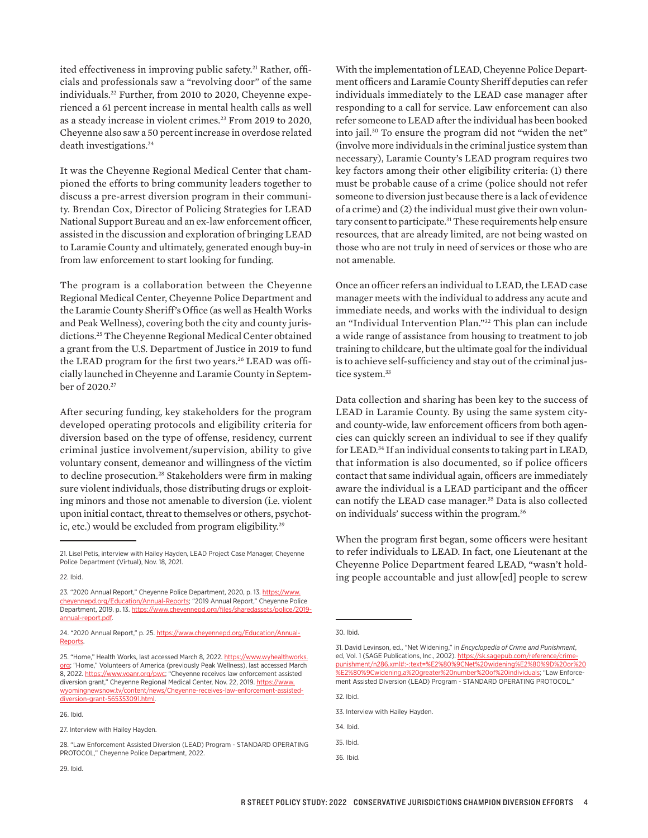ited effectiveness in improving public safety.<sup>21</sup> Rather, officials and professionals saw a "revolving door" of the same individuals.<sup>22</sup> Further, from 2010 to 2020, Cheyenne experienced a 61 percent increase in mental health calls as well as a steady increase in violent crimes.<sup>23</sup> From 2019 to 2020, Cheyenne also saw a 50 percent increase in overdose related death investigations.<sup>24</sup>

It was the Cheyenne Regional Medical Center that championed the efforts to bring community leaders together to discuss a pre-arrest diversion program in their community. Brendan Cox, Director of Policing Strategies for LEAD National Support Bureau and an ex-law enforcement officer, assisted in the discussion and exploration of bringing LEAD to Laramie County and ultimately, generated enough buy-in from law enforcement to start looking for funding.

The program is a collaboration between the Cheyenne Regional Medical Center, Cheyenne Police Department and the Laramie County Sheriff's Office (as well as Health Works and Peak Wellness), covering both the city and county jurisdictions.25 The Cheyenne Regional Medical Center obtained a grant from the U.S. Department of Justice in 2019 to fund the LEAD program for the first two years.<sup>26</sup> LEAD was officially launched in Cheyenne and Laramie County in September of 2020.27

After securing funding, key stakeholders for the program developed operating protocols and eligibility criteria for diversion based on the type of offense, residency, current criminal justice involvement/supervision, ability to give voluntary consent, demeanor and willingness of the victim to decline prosecution.<sup>28</sup> Stakeholders were firm in making sure violent individuals, those distributing drugs or exploiting minors and those not amenable to diversion (i.e. violent upon initial contact, threat to themselves or others, psychotic, etc.) would be excluded from program eligibility.<sup>29</sup>

With the implementation of LEAD, Cheyenne Police Department officers and Laramie County Sheriff deputies can refer individuals immediately to the LEAD case manager after responding to a call for service. Law enforcement can also refer someone to LEAD after the individual has been booked into jail.30 To ensure the program did not "widen the net" (involve more individuals in the criminal justice system than necessary), Laramie County's LEAD program requires two key factors among their other eligibility criteria: (1) there must be probable cause of a crime (police should not refer someone to diversion just because there is a lack of evidence of a crime) and (2) the individual must give their own voluntary consent to participate.<sup>31</sup> These requirements help ensure resources, that are already limited, are not being wasted on those who are not truly in need of services or those who are not amenable.

Once an officer refers an individual to LEAD, the LEAD case manager meets with the individual to address any acute and immediate needs, and works with the individual to design an "Individual Intervention Plan."32 This plan can include a wide range of assistance from housing to treatment to job training to childcare, but the ultimate goal for the individual is to achieve self-sufficiency and stay out of the criminal justice system.<sup>33</sup>

Data collection and sharing has been key to the success of LEAD in Laramie County. By using the same system cityand county-wide, law enforcement officers from both agencies can quickly screen an individual to see if they qualify for LEAD.<sup>34</sup> If an individual consents to taking part in LEAD, that information is also documented, so if police officers contact that same individual again, officers are immediately aware the individual is a LEAD participant and the officer can notify the LEAD case manager.<sup>35</sup> Data is also collected on individuals' success within the program.36

When the program first began, some officers were hesitant to refer individuals to LEAD. In fact, one Lieutenant at the Cheyenne Police Department feared LEAD, "wasn't holding people accountable and just allow[ed] people to screw

32. Ibid.

34. Ibid.

36. Ibid.

<sup>21.</sup> Lisel Petis, interview with Hailey Hayden, LEAD Project Case Manager, Cheyenne Police Department (Virtual), Nov. 18, 2021.

<sup>22.</sup> Ibid.

<sup>23. &</sup>quot;2020 Annual Report," Cheyenne Police Department, 2020, p. 13. [https://www.](https://www.cheyennepd.org/Education/Annual-Reports) [cheyennepd.org/Education/Annual-Reports;](https://www.cheyennepd.org/Education/Annual-Reports) "2019 Annual Report," Cheyenne Police Department, 2019. p. 13. [https://www.cheyennepd.org/files/sharedassets/police/2019](https://www.cheyennepd.org/files/sharedassets/police/2019-annual-report.pdf) [annual-report.pdf.](https://www.cheyennepd.org/files/sharedassets/police/2019-annual-report.pdf)

<sup>24. &</sup>quot;2020 Annual Report," p. 25. [https://www.cheyennepd.org/Education/Annual-](https://www.cheyennepd.org/Education/Annual-Reports)[Reports.](https://www.cheyennepd.org/Education/Annual-Reports)

<sup>25. &</sup>quot;Home," Health Works, last accessed March 8, 2022. [https://www.wyhealthworks.](https://www.wyhealthworks.org) [org](https://www.wyhealthworks.org); "Home," Volunteers of America (previously Peak Wellness), last accessed March 8, 2022.<https://www.voanr.org/pwc>; "Cheyenne receives law enforcement assisted diversion grant," Cheyenne Regional Medical Center, Nov. 22, 2019. [https://www.](https://www.wyomingnewsnow.tv/content/news/Cheyenne-receives-law-enforcement-assisted-diversion-grant-565353091.html) [wyomingnewsnow.tv/content/news/Cheyenne-receives-law-enforcement-assisted](https://www.wyomingnewsnow.tv/content/news/Cheyenne-receives-law-enforcement-assisted-diversion-grant-565353091.html)[diversion-grant-565353091.html](https://www.wyomingnewsnow.tv/content/news/Cheyenne-receives-law-enforcement-assisted-diversion-grant-565353091.html).

<sup>26.</sup> Ibid.

<sup>27.</sup> Interview with Hailey Hayden.

<sup>28. &</sup>quot;Law Enforcement Assisted Diversion (LEAD) Program - STANDARD OPERATING PROTOCOL," Cheyenne Police Department, 2022.

<sup>30.</sup> Ibid.

<sup>31.</sup> David Levinson, ed., "Net Widening," in *Encyclopedia of Crime and Punishment*, ed, Vol. 1 (SAGE Publications, Inc., 2002). [https://sk.sagepub.com/reference/crime](https://sk.sagepub.com/reference/crimepunishment/n286.xml%23:~:text=%E2%80%9CNet%20widening%E2%80%9D%20or%20%E2%80%9Cwidening,a%20greater%20number%20of%20individuals)[punishment/n286.xml#:~:text=%E2%80%9CNet%20widening%E2%80%9D%20or%20](https://sk.sagepub.com/reference/crimepunishment/n286.xml%23:~:text=%E2%80%9CNet%20widening%E2%80%9D%20or%20%E2%80%9Cwidening,a%20greater%20number%20of%20individuals) [%E2%80%9Cwidening,a%20greater%20number%20of%20individuals](https://sk.sagepub.com/reference/crimepunishment/n286.xml%23:~:text=%E2%80%9CNet%20widening%E2%80%9D%20or%20%E2%80%9Cwidening,a%20greater%20number%20of%20individuals); "Law Enforcement Assisted Diversion (LEAD) Program - STANDARD OPERATING PROTOCOL."

<sup>33.</sup> Interview with Hailey Hayden.

<sup>35.</sup> Ibid.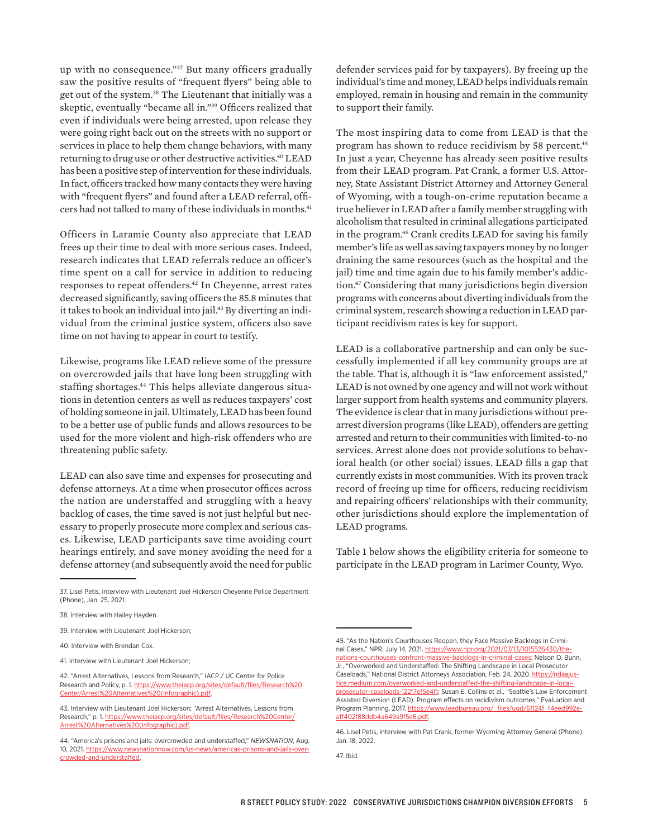up with no consequence."37 But many officers gradually saw the positive results of "frequent flyers" being able to get out of the system.<sup>38</sup> The Lieutenant that initially was a skeptic, eventually "became all in."39 Officers realized that even if individuals were being arrested, upon release they were going right back out on the streets with no support or services in place to help them change behaviors, with many returning to drug use or other destructive activities.40 LEAD has been a positive step of intervention for these individuals. In fact, officers tracked how many contacts they were having with "frequent flyers" and found after a LEAD referral, officers had not talked to many of these individuals in months.<sup>41</sup>

Officers in Laramie County also appreciate that LEAD frees up their time to deal with more serious cases. Indeed, research indicates that LEAD referrals reduce an officer's time spent on a call for service in addition to reducing responses to repeat offenders.42 In Cheyenne, arrest rates decreased significantly, saving officers the 85.8 minutes that it takes to book an individual into jail.<sup>43</sup> By diverting an individual from the criminal justice system, officers also save time on not having to appear in court to testify.

Likewise, programs like LEAD relieve some of the pressure on overcrowded jails that have long been struggling with staffing shortages.<sup>44</sup> This helps alleviate dangerous situations in detention centers as well as reduces taxpayers' cost of holding someone in jail. Ultimately, LEAD has been found to be a better use of public funds and allows resources to be used for the more violent and high-risk offenders who are threatening public safety.

LEAD can also save time and expenses for prosecuting and defense attorneys. At a time when prosecutor offices across the nation are understaffed and struggling with a heavy backlog of cases, the time saved is not just helpful but necessary to properly prosecute more complex and serious cases. Likewise, LEAD participants save time avoiding court hearings entirely, and save money avoiding the need for a defense attorney (and subsequently avoid the need for public

42. "Arrest Alternatives, Lessons from Research," IACP / UC Center for Police Research and Policy, p. 1. [https://www.theiacp.org/sites/default/files/Research%20](https://www.theiacp.org/sites/default/files/Research%20Center/Arrest%20Alternatives%20(infographic).pdf) [Center/Arrest%20Alternatives%20\(infographic\).pdf.](https://www.theiacp.org/sites/default/files/Research%20Center/Arrest%20Alternatives%20(infographic).pdf)

defender services paid for by taxpayers). By freeing up the individual's time and money, LEAD helps individuals remain employed, remain in housing and remain in the community to support their family.

The most inspiring data to come from LEAD is that the program has shown to reduce recidivism by 58 percent.<sup>45</sup> In just a year, Cheyenne has already seen positive results from their LEAD program. Pat Crank, a former U.S. Attorney, State Assistant District Attorney and Attorney General of Wyoming, with a tough-on-crime reputation became a true believer in LEAD after a family member struggling with alcoholism that resulted in criminal allegations participated in the program.46 Crank credits LEAD for saving his family member's life as well as saving taxpayers money by no longer draining the same resources (such as the hospital and the jail) time and time again due to his family member's addiction.47 Considering that many jurisdictions begin diversion programs with concerns about diverting individuals from the criminal system, research showing a reduction in LEAD participant recidivism rates is key for support.

LEAD is a collaborative partnership and can only be successfully implemented if all key community groups are at the table. That is, although it is "law enforcement assisted," LEAD is not owned by one agency and will not work without larger support from health systems and community players. The evidence is clear that in many jurisdictions without prearrest diversion programs (like LEAD), offenders are getting arrested and return to their communities with limited-to-no services. Arrest alone does not provide solutions to behavioral health (or other social) issues. LEAD fills a gap that currently exists in most communities. With its proven track record of freeing up time for officers, reducing recidivism and repairing officers' relationships with their community, other jurisdictions should explore the implementation of LEAD programs.

Table 1 below shows the eligibility criteria for someone to participate in the LEAD program in Larimer County, Wyo.

<sup>37.</sup> Lisel Petis, interview with Lieutenant Joel Hickerson Cheyenne Police Department (Phone), Jan. 25, 2021.

<sup>38.</sup> Interview with Hailey Hayden.

<sup>39.</sup> Interview with Lieutenant Joel Hickerson;

<sup>40.</sup> Interview with Brendan Cox.

<sup>41.</sup> Interview with Lieutenant Joel Hickerson;

<sup>43.</sup> Interview with Lieutenant Joel Hickerson; "Arrest Alternatives, Lessons from Research," p. 1. [https://www.theiacp.org/sites/default/files/Research%20Center/](https://www.theiacp.org/sites/default/files/Research%20Center/Arrest%20Alternatives%20(infographic).pdf) Arrestives%20(infographic).pdf.

<sup>44. &</sup>quot;America's prisons and jails: overcrowded and understaffed," *NEWSNATION*, Aug. 10, 2021. [https://www.newsnationnow.com/us-news/americas-prisons-and-jails-over](https://www.newsnationnow.com/us-news/americas-prisons-and-jails-overcrowded-and-understaffed)[crowded-and-understaffed.](https://www.newsnationnow.com/us-news/americas-prisons-and-jails-overcrowded-and-understaffed)

<sup>45. &</sup>quot;As the Nation's Courthouses Reopen, they Face Massive Backlogs in Criminal Cases," NPR, July 14, 2021. https://www.npr.org/2021/07/13/1015526430/th [nations-courthouses-confront-massive-backlogs-in-criminal-cases](https://www.npr.org/2021/07/13/1015526430/the-nations-courthouses-confront-massive-backlogs-in-criminal-cases); Nelson O. Bunn, Jr., "Overworked and Understaffed: The Shifting Landscape in Local Prosecutor Caseloads," National District Attorneys Association, Feb. 24, 2020. [https://ndaajus](https://ndaajustice.medium.com/overworked-and-understaffed-the-shifting-landscape-in-local-prosecutor-caseloads-122f7ef5e4f1)[tice.medium.com/overworked-and-understaffed-the-shifting-landscape-in-local](https://ndaajustice.medium.com/overworked-and-understaffed-the-shifting-landscape-in-local-prosecutor-caseloads-122f7ef5e4f1)[prosecutor-caseloads-122f7ef5e4f1](https://ndaajustice.medium.com/overworked-and-understaffed-the-shifting-landscape-in-local-prosecutor-caseloads-122f7ef5e4f1); Susan E. Collins et al., "Seattle's Law Enforcement Assisted Diversion (LEAD): Program effects on recidivism outcomes," Evaluation and Program Planning, 2017. https://www.leadbureau.org/\_files/ugd/6f124f\_f4eed992 [aff402f88ddb4a649a9f5e6.pdf](https://www.leadbureau.org/_files/ugd/6f124f_f4eed992eaff402f88ddb4a649a9f5e6.pdf).

<sup>46.</sup> Lisel Petis, interview with Pat Crank, former Wyoming Attorney General (Phone), Jan. 18, 2022.

<sup>47.</sup> Ibid.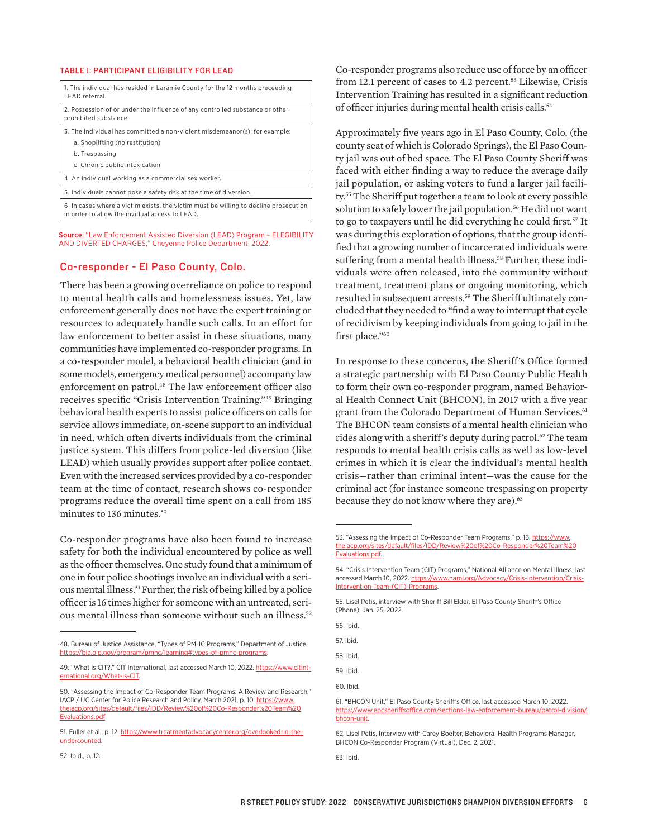#### TABLE 1: PARTICIPANT ELIGIBILITY FOR LEAD

| 1. The individual has resided in Laramie County for the 12 months preceeding<br>LEAD referral.                                         |
|----------------------------------------------------------------------------------------------------------------------------------------|
| 2. Possession of or under the influence of any controlled substance or other<br>prohibited substance.                                  |
| 3. The individual has committed a non-violent misdemeanor(s); for example:                                                             |
| a. Shoplifting (no restitution)                                                                                                        |
| b. Trespassing                                                                                                                         |
| c. Chronic public intoxication                                                                                                         |
| 4. An individual working as a commercial sex worker.                                                                                   |
| 5. Individuals cannot pose a safety risk at the time of diversion.                                                                     |
| 6. In cases where a victim exists, the victim must be willing to decline prosecution<br>in order to allow the invidual access to LEAD. |
|                                                                                                                                        |

Source: "Law Enforcement Assisted Diversion (LEAD) Program – ELEGIBILITY AND DIVERTED CHARGES," Cheyenne Police Department, 2022.

#### Co-responder - El Paso County, Colo.

There has been a growing overreliance on police to respond to mental health calls and homelessness issues. Yet, law enforcement generally does not have the expert training or resources to adequately handle such calls. In an effort for law enforcement to better assist in these situations, many communities have implemented co-responder programs. In a co-responder model, a behavioral health clinician (and in some models, emergency medical personnel) accompany law enforcement on patrol.48 The law enforcement officer also receives specific "Crisis Intervention Training."49 Bringing behavioral health experts to assist police officers on calls for service allows immediate, on-scene support to an individual in need, which often diverts individuals from the criminal justice system. This differs from police-led diversion (like LEAD) which usually provides support after police contact. Even with the increased services provided by a co-responder team at the time of contact, research shows co-responder programs reduce the overall time spent on a call from 185 minutes to 136 minutes.<sup>50</sup>

Co-responder programs have also been found to increase safety for both the individual encountered by police as well as the officer themselves. One study found that a minimum of one in four police shootings involve an individual with a serious mental illness.51 Further, the risk of being killed by a police officer is 16 times higher for someone with an untreated, serious mental illness than someone without such an illness.52

Co-responder programs also reduce use of force by an officer from 12.1 percent of cases to 4.2 percent.<sup>53</sup> Likewise, Crisis Intervention Training has resulted in a significant reduction of officer injuries during mental health crisis calls.<sup>54</sup>

Approximately five years ago in El Paso County, Colo. (the county seat of which is Colorado Springs), the El Paso County jail was out of bed space. The El Paso County Sheriff was faced with either finding a way to reduce the average daily jail population, or asking voters to fund a larger jail facility.55 The Sheriff put together a team to look at every possible solution to safely lower the jail population.<sup>56</sup> He did not want to go to taxpayers until he did everything he could first.<sup>57</sup> It was during this exploration of options, that the group identified that a growing number of incarcerated individuals were suffering from a mental health illness.<sup>58</sup> Further, these individuals were often released, into the community without treatment, treatment plans or ongoing monitoring, which resulted in subsequent arrests.59 The Sheriff ultimately concluded that they needed to "find a way to interrupt that cycle of recidivism by keeping individuals from going to jail in the first place."<sup>60</sup>

In response to these concerns, the Sheriff's Office formed a strategic partnership with El Paso County Public Health to form their own co-responder program, named Behavioral Health Connect Unit (BHCON), in 2017 with a five year grant from the Colorado Department of Human Services.<sup>61</sup> The BHCON team consists of a mental health clinician who rides along with a sheriff's deputy during patrol.<sup>62</sup> The team responds to mental health crisis calls as well as low-level crimes in which it is clear the individual's mental health crisis—rather than criminal intent—was the cause for the criminal act (for instance someone trespassing on property because they do not know where they are).<sup>63</sup>

56. Ibid.

57. Ibid.

58. Ibid.

59. Ibid.

60. Ibid.

52. Ibid., p. 12.

<sup>48.</sup> Bureau of Justice Assistance, "Types of PMHC Programs," Department of Justice. <https://bja.ojp.gov/program/pmhc/learning#types-of-pmhc-programs>.

<sup>49. &</sup>quot;What is CIT?," CIT International, last accessed March 10, 2022. [https://www.citint](https://www.citinternational.org/What-is-CIT)[ernational.org/What-is-CIT](https://www.citinternational.org/What-is-CIT).

<sup>50. &</sup>quot;Assessing the Impact of Co-Responder Team Programs: A Review and Research," IACP / UC Center for Police Research and Policy, March 2021, p. 10. [https://www.](https://www.theiacp.org/sites/default/files/IDD/Review%20of%20Co-Responder%20Team%20Evaluations.pdf) [theiacp.org/sites/default/files/IDD/Review%20of%20Co-Responder%20Team%20](https://www.theiacp.org/sites/default/files/IDD/Review%20of%20Co-Responder%20Team%20Evaluations.pdf) [Evaluations.pdf](https://www.theiacp.org/sites/default/files/IDD/Review%20of%20Co-Responder%20Team%20Evaluations.pdf).

<sup>51.</sup> Fuller et al., p. 12. [https://www.treatmentadvocacycenter.org/overlooked-in-the](https://www.treatmentadvocacycenter.org/overlooked-in-the-undercounted)[undercounted.](https://www.treatmentadvocacycenter.org/overlooked-in-the-undercounted)

<sup>53. &</sup>quot;Assessing the Impact of Co-Responder Team Programs," p. 16. [https://www.](https://www.theiacp.org/sites/default/files/IDD/Review%20of%20Co-Responder%20Team%20Evaluations.pdf) [theiacp.org/sites/default/files/IDD/Review%20of%20Co-Responder%20Team%20](https://www.theiacp.org/sites/default/files/IDD/Review%20of%20Co-Responder%20Team%20Evaluations.pdf) [Evaluations.pdf.](https://www.theiacp.org/sites/default/files/IDD/Review%20of%20Co-Responder%20Team%20Evaluations.pdf)

<sup>54. &</sup>quot;Crisis Intervention Team (CIT) Programs," National Alliance on Mental Illness, last accessed March 10, 2022. [https://www.nami.org/Advocacy/Crisis-Intervention/Crisis-](https://www.nami.org/Advocacy/Crisis-Intervention/Crisis-Intervention-Team-(CIT)-Programs)[Intervention-Team-\(CIT\)-Programs](https://www.nami.org/Advocacy/Crisis-Intervention/Crisis-Intervention-Team-(CIT)-Programs).

<sup>55.</sup> Lisel Petis, interview with Sheriff Bill Elder, El Paso County Sheriff's Office (Phone), Jan. 25, 2022.

<sup>61. &</sup>quot;BHCON Unit," El Paso County Sheriff's Office, last accessed March 10, 2022. [https://www.epcsheriffsoffice.com/sections-law-enforcement-bureau/patrol-division/](https://www.epcsheriffsoffice.com/sections-law-enforcement-bureau/patrol-division/bhcon-unit) [bhcon-unit.](https://www.epcsheriffsoffice.com/sections-law-enforcement-bureau/patrol-division/bhcon-unit)

<sup>62.</sup> Lisel Petis, Interview with Carey Boelter, Behavioral Health Programs Manager, BHCON Co-Responder Program (Virtual), Dec. 2, 2021.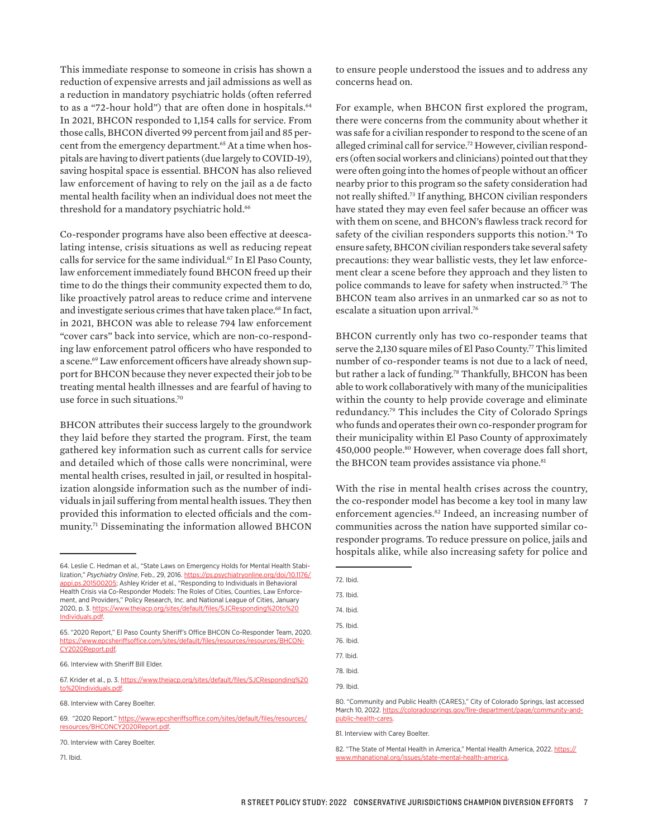This immediate response to someone in crisis has shown a reduction of expensive arrests and jail admissions as well as a reduction in mandatory psychiatric holds (often referred to as a "72-hour hold") that are often done in hospitals.<sup>64</sup> In 2021, BHCON responded to 1,154 calls for service. From those calls, BHCON diverted 99 percent from jail and 85 percent from the emergency department.<sup>65</sup> At a time when hospitals are having to divert patients (due largely to COVID-19), saving hospital space is essential. BHCON has also relieved law enforcement of having to rely on the jail as a de facto mental health facility when an individual does not meet the threshold for a mandatory psychiatric hold.<sup>66</sup>

Co-responder programs have also been effective at deescalating intense, crisis situations as well as reducing repeat calls for service for the same individual.<sup>67</sup> In El Paso County, law enforcement immediately found BHCON freed up their time to do the things their community expected them to do, like proactively patrol areas to reduce crime and intervene and investigate serious crimes that have taken place.<sup>68</sup> In fact, in 2021, BHCON was able to release 794 law enforcement "cover cars" back into service, which are non-co-responding law enforcement patrol officers who have responded to a scene.69 Law enforcement officers have already shown support for BHCON because they never expected their job to be treating mental health illnesses and are fearful of having to use force in such situations.70

BHCON attributes their success largely to the groundwork they laid before they started the program. First, the team gathered key information such as current calls for service and detailed which of those calls were noncriminal, were mental health crises, resulted in jail, or resulted in hospitalization alongside information such as the number of individuals in jail suffering from mental health issues. They then provided this information to elected officials and the community.71 Disseminating the information allowed BHCON

66. Interview with Sheriff Bill Elder.

67. Krider et al., p. 3. [https://www.theiacp.org/sites/default/files/SJCResponding%20](https://www.theiacp.org/sites/default/files/SJCResponding%20to%20Individuals.pdf) [to%20Individuals.pdf](https://www.theiacp.org/sites/default/files/SJCResponding%20to%20Individuals.pdf).

to ensure people understood the issues and to address any concerns head on.

For example, when BHCON first explored the program, there were concerns from the community about whether it was safe for a civilian responder to respond to the scene of an alleged criminal call for service.<sup>72</sup> However, civilian responders (often social workers and clinicians) pointed out that they were often going into the homes of people without an officer nearby prior to this program so the safety consideration had not really shifted.73 If anything, BHCON civilian responders have stated they may even feel safer because an officer was with them on scene, and BHCON's flawless track record for safety of the civilian responders supports this notion.<sup>74</sup> To ensure safety, BHCON civilian responders take several safety precautions: they wear ballistic vests, they let law enforcement clear a scene before they approach and they listen to police commands to leave for safety when instructed.75 The BHCON team also arrives in an unmarked car so as not to escalate a situation upon arrival.<sup>76</sup>

BHCON currently only has two co-responder teams that serve the 2,130 square miles of El Paso County.<sup>77</sup> This limited number of co-responder teams is not due to a lack of need, but rather a lack of funding.78 Thankfully, BHCON has been able to work collaboratively with many of the municipalities within the county to help provide coverage and eliminate redundancy.79 This includes the City of Colorado Springs who funds and operates their own co-responder program for their municipality within El Paso County of approximately 450,000 people.80 However, when coverage does fall short, the BHCON team provides assistance via phone.<sup>81</sup>

With the rise in mental health crises across the country, the co-responder model has become a key tool in many law enforcement agencies.<sup>82</sup> Indeed, an increasing number of communities across the nation have supported similar coresponder programs. To reduce pressure on police, jails and hospitals alike, while also increasing safety for police and

| 72. Ibid.                                      |
|------------------------------------------------|
| 73. Ibid.                                      |
| 74. Ibid.                                      |
| 75. Ibid.                                      |
| 76. Ibid.                                      |
| 77. Ibid.                                      |
| 78. Ibid.                                      |
| 79. Ibid.                                      |
| <b>TEL: 10</b><br>$\cap \cap$ $\cup \cap$<br>. |

<sup>80. &</sup>quot;Community and Public Health (CARES)," City of Colorado Springs, last accessed March 10, 2022. [https://coloradosprings.gov/fire-department/page/community-and](https://coloradosprings.gov/fire-department/page/community-and-public-health-cares)[public-health-cares](https://coloradosprings.gov/fire-department/page/community-and-public-health-cares).

82. "The State of Mental Health in America," Mental Health America, 2022. [https://](https://www.mhanational.org/issues/state-mental-health-america) [www.mhanational.org/issues/state-mental-health-america.](https://www.mhanational.org/issues/state-mental-health-america)

<sup>64.</sup> Leslie C. Hedman et al., "State Laws on Emergency Holds for Mental Health Stabilization," *Psychiatry Online*, Feb., 29, 2016. [https://ps.psychiatryonline.org/doi/10.1176/](https://ps.psychiatryonline.org/doi/10.1176/appi.ps.201500205) [appi.ps.201500205;](https://ps.psychiatryonline.org/doi/10.1176/appi.ps.201500205) Ashley Krider et al., "Responding to Individuals in Behavioral Health Crisis via Co-Responder Models: The Roles of Cities, Counties, Law Enforcement, and Providers," Policy Research, Inc. and National League of Cities, January 2020, p. 3. [https://www.theiacp.org/sites/default/files/SJCResponding%20to%20](https://www.theiacp.org/sites/default/files/SJCResponding%20to%20Individuals.pdf) [Individuals.pdf](https://www.theiacp.org/sites/default/files/SJCResponding%20to%20Individuals.pdf).

<sup>65. &</sup>quot;2020 Report," El Paso County Sheriff's Office BHCON Co-Responder Team, 2020. [https://www.epcsheriffsoffice.com/sites/default/files/resources/resources/BHCON-](https://www.epcsheriffsoffice.com/sites/default/files/resources/resources/BHCONCY2020Report.pdf)[CY2020Report.pdf](https://www.epcsheriffsoffice.com/sites/default/files/resources/resources/BHCONCY2020Report.pdf).

<sup>68.</sup> Interview with Carey Boelter.

<sup>69. &</sup>quot;2020 Report." [https://www.epcsheriffsoffice.com/sites/default/files/resources/](https://www.epcsheriffsoffice.com/sites/default/files/resources/resources/BHCONCY2020Report.pdf) [resources/BHCONCY2020Report.pdf.](https://www.epcsheriffsoffice.com/sites/default/files/resources/resources/BHCONCY2020Report.pdf)

<sup>70.</sup> Interview with Carey Boelter.

<sup>71.</sup> Ibid.

<sup>81.</sup> Interview with Carey Boelter.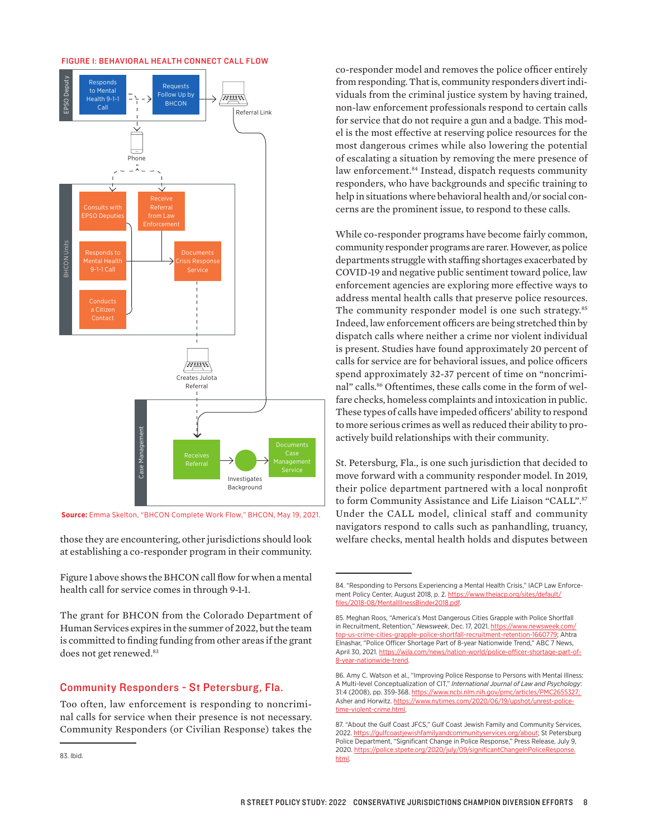#### FIGURE 1: BEHAVIORAL HEALTH CONNECT CALL FLOW



those they are encountering, other jurisdictions should look at establishing a co-responder program in their community.

Figure 1 above shows the BHCON call flow for when a mental health call for service comes in through 9-1-1.

The grant for BHCON from the Colorado Department of Human Services expires in the summer of 2022, but the team is committed to finding funding from other areas if the grant does not get renewed.<sup>83</sup>

### Community Responders - St Petersburg, Fla.

Too often, law enforcement is responding to noncriminal calls for service when their presence is not necessary. Community Responders (or Civilian Response) takes the

co-responder model and removes the police officer entirely from responding. That is, community responders divert individuals from the criminal justice system by having trained, non-law enforcement professionals respond to certain calls for service that do not require a gun and a badge. This model is the most effective at reserving police resources for the most dangerous crimes while also lowering the potential of escalating a situation by removing the mere presence of law enforcement.<sup>84</sup> Instead, dispatch requests community responders, who have backgrounds and specific training to help in situations where behavioral health and/or social concerns are the prominent issue, to respond to these calls.

While co-responder programs have become fairly common, community responder programs are rarer. However, as police departments struggle with staffing shortages exacerbated by COVID-19 and negative public sentiment toward police, law enforcement agencies are exploring more effective ways to address mental health calls that preserve police resources. The community responder model is one such strategy.<sup>85</sup> Indeed, law enforcement officers are being stretched thin by dispatch calls where neither a crime nor violent individual is present. Studies have found approximately 20 percent of calls for service are for behavioral issues, and police officers spend approximately 32-37 percent of time on "noncriminal" calls.<sup>86</sup> Oftentimes, these calls come in the form of welfare checks, homeless complaints and intoxication in public. These types of calls have impeded officers' ability to respond to more serious crimes as well as reduced their ability to proactively build relationships with their community*.* 

St. Petersburg, Fla., is one such jurisdiction that decided to move forward with a community responder model. In 2019, their police department partnered with a local nonprofit to form Community Assistance and Life Liaison "CALL".87 Under the CALL model, clinical staff and community navigators respond to calls such as panhandling, truancy, welfare checks, mental health holds and disputes between

<sup>84. &</sup>quot;Responding to Persons Experiencing a Mental Health Crisis," IACP Law Enforcement Policy Center, August 2018, p. 2. [https://www.theiacp.org/sites/default/](https://www.theiacp.org/sites/default/files/2018-08/MentalIllnessBinder2018.pdf) [files/2018-08/MentalIllnessBinder2018.pdf.](https://www.theiacp.org/sites/default/files/2018-08/MentalIllnessBinder2018.pdf)

<sup>85.</sup> Meghan Roos, "America's Most Dangerous Cities Grapple with Police Shortfall in Recruitment, Retention," *Newsweek*, Dec. 17, 2021. [https://www.newsweek.com/](https://www.newsweek.com/top-us-crime-cities-grapple-police-shortfall-recruitment-retention-1660779) [top-us-crime-cities-grapple-police-shortfall-recruitment-retention-1660779;](https://www.newsweek.com/top-us-crime-cities-grapple-police-shortfall-recruitment-retention-1660779) Ahtra Elnashar, "Police Officer Shortage Part of 8-year Nationwide Trend," ABC 7 News, April 30, 2021. [https://wjla.com/news/nation-world/police-officer-shortage-part-of-](https://wjla.com/news/nation-world/police-officer-shortage-part-of-8-year-nationwide-trend)[8-year-nationwide-trend.](https://wjla.com/news/nation-world/police-officer-shortage-part-of-8-year-nationwide-trend)

<sup>86.</sup> Amy C. Watson et al., "Improving Police Response to Persons with Mental Illness: A Multi-level Conceptualization of CIT," *International Journal of Law and Psychology*: 31:4 (2008), pp. 359-368. [https://www.ncbi.nlm.nih.gov/pmc/articles/PMC2655327;](https://www.ncbi.nlm.nih.gov/pmc/articles/PMC2655327) Asher and Horwitz. [https://www.nytimes.com/2020/06/19/upshot/unrest-police](https://www.nytimes.com/2020/06/19/upshot/unrest-police-time-violent-crime.html)[time-violent-crime.html](https://www.nytimes.com/2020/06/19/upshot/unrest-police-time-violent-crime.html).

<sup>87. &</sup>quot;About the Gulf Coast JFCS," Gulf Coast Jewish Family and Community Services, 2022.<https://gulfcoastjewishfamilyandcommunityservices.org/about>; St Petersburg Police Department, "Significant Change in Police Response," Press Release, July 9, 2020. https://police.stpete.org/2020/july/09/significantChangeInPoliceResponse [html.](https://police.stpete.org/2020/july/09/significantChangeInPoliceResponse.html)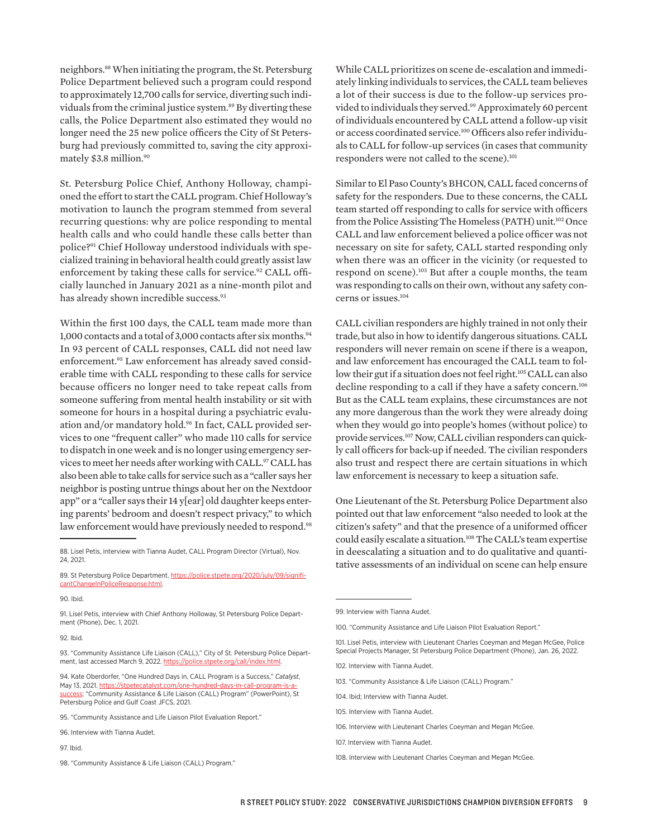neighbors.88 When initiating the program, the St. Petersburg Police Department believed such a program could respond to approximately 12,700 calls for service, diverting such individuals from the criminal justice system.89 By diverting these calls, the Police Department also estimated they would no longer need the 25 new police officers the City of St Petersburg had previously committed to, saving the city approximately \$3.8 million.<sup>90</sup>

St. Petersburg Police Chief, Anthony Holloway, championed the effort to start the CALL program. Chief Holloway's motivation to launch the program stemmed from several recurring questions: why are police responding to mental health calls and who could handle these calls better than police?91 Chief Holloway understood individuals with specialized training in behavioral health could greatly assist law enforcement by taking these calls for service.<sup>92</sup> CALL officially launched in January 2021 as a nine-month pilot and has already shown incredible success.<sup>93</sup>

Within the first 100 days, the CALL team made more than 1,000 contacts and a total of 3,000 contacts after six months.<sup>94</sup> In 93 percent of CALL responses, CALL did not need law enforcement.95 Law enforcement has already saved considerable time with CALL responding to these calls for service because officers no longer need to take repeat calls from someone suffering from mental health instability or sit with someone for hours in a hospital during a psychiatric evaluation and/or mandatory hold.96 In fact, CALL provided services to one "frequent caller" who made 110 calls for service to dispatch in one week and is no longer using emergency services to meet her needs after working with CALL.97 CALL has also been able to take calls for service such as a "caller says her neighbor is posting untrue things about her on the Nextdoor app" or a "caller says their 14 y[ear] old daughter keeps entering parents' bedroom and doesn't respect privacy," to which law enforcement would have previously needed to respond.<sup>98</sup>

#### 90. Ibid.

91. Lisel Petis, interview with Chief Anthony Holloway, St Petersburg Police Department (Phone), Dec. 1, 2021.

92. Ibid.

93. "Community Assistance Life Liaison (CALL)," City of St. Petersburg Police Department, last accessed March 9, 2022. <https://police.stpete.org/call/index.html>.

94. Kate Oberdorfer, "One Hundred Days in, CALL Program is a Success," *Catalyst*, May 13, 2021. [https://stpetecatalyst.com/one-hundred-days-in-call-program-is-a](https://stpetecatalyst.com/one-hundred-days-in-call-program-is-a-success)[success;](https://stpetecatalyst.com/one-hundred-days-in-call-program-is-a-success) "Community Assistance & Life Liaison (CALL) Program" (PowerPoint), St Petersburg Police and Gulf Coast JFCS, 2021.

98. "Community Assistance & Life Liaison (CALL) Program."

While CALL prioritizes on scene de-escalation and immediately linking individuals to services, the CALL team believes a lot of their success is due to the follow-up services provided to individuals they served.<sup>99</sup> Approximately 60 percent of individuals encountered by CALL attend a follow-up visit or access coordinated service.100 Officers also refer individuals to CALL for follow-up services (in cases that community responders were not called to the scene).<sup>101</sup>

Similar to El Paso County's BHCON, CALL faced concerns of safety for the responders. Due to these concerns, the CALL team started off responding to calls for service with officers from the Police Assisting The Homeless (PATH) unit.102 Once CALL and law enforcement believed a police officer was not necessary on site for safety, CALL started responding only when there was an officer in the vicinity (or requested to respond on scene).103 But after a couple months, the team was responding to calls on their own, without any safety concerns or issues.<sup>104</sup>

CALL civilian responders are highly trained in not only their trade, but also in how to identify dangerous situations. CALL responders will never remain on scene if there is a weapon, and law enforcement has encouraged the CALL team to follow their gut if a situation does not feel right.<sup>105</sup> CALL can also decline responding to a call if they have a safety concern.<sup>106</sup> But as the CALL team explains, these circumstances are not any more dangerous than the work they were already doing when they would go into people's homes (without police) to provide services.<sup>107</sup> Now, CALL civilian responders can quickly call officers for back-up if needed. The civilian responders also trust and respect there are certain situations in which law enforcement is necessary to keep a situation safe.

One Lieutenant of the St. Petersburg Police Department also pointed out that law enforcement "also needed to look at the citizen's safety" and that the presence of a uniformed officer could easily escalate a situation.<sup>108</sup> The CALL's team expertise in deescalating a situation and to do qualitative and quantitative assessments of an individual on scene can help ensure

- 103. "Community Assistance & Life Liaison (CALL) Program."
- 104. Ibid: Interview with Tianna Audet.
- 105. Interview with Tianna Audet.
- 106. Interview with Lieutenant Charles Coeyman and Megan McGee.
- 107. Interview with Tianna Audet.
- 108. Interview with Lieutenant Charles Coeyman and Megan McGee.

<sup>88.</sup> Lisel Petis, interview with Tianna Audet, CALL Program Director (Virtual), Nov. 24, 2021.

<sup>89.</sup> St Petersburg Police Department. [https://police.stpete.org/2020/july/09/signifi](https://police.stpete.org/2020/july/09/significantChangeInPoliceResponse.html)[cantChangeInPoliceResponse.html.](https://police.stpete.org/2020/july/09/significantChangeInPoliceResponse.html)

<sup>95. &</sup>quot;Community Assistance and Life Liaison Pilot Evaluation Report."

<sup>96.</sup> Interview with Tianna Audet.

<sup>97.</sup> Ibid.

<sup>99.</sup> Interview with Tianna Audet.

<sup>100. &</sup>quot;Community Assistance and Life Liaison Pilot Evaluation Report."

<sup>101.</sup> Lisel Petis, interview with Lieutenant Charles Coeyman and Megan McGee, Police Special Projects Manager, St Petersburg Police Department (Phone), Jan. 26, 2022.

<sup>102.</sup> Interview with Tianna Audet.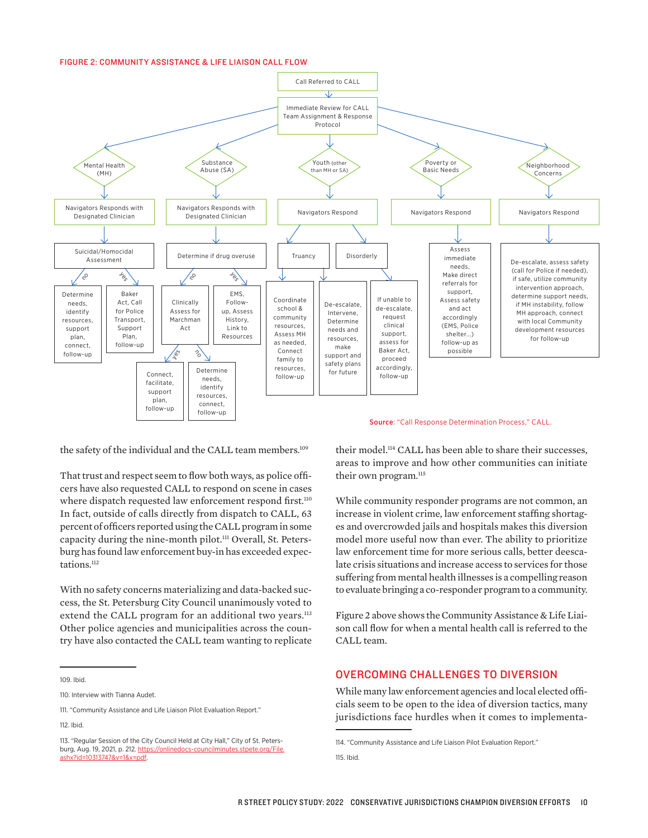#### FIGURE 2: COMMUNITY ASSISTANCE & LIFE LIAISON CALL FLOW



the safety of the individual and the CALL team members.<sup>109</sup> That trust and respect seem to flow both ways, as police offi-

cers have also requested CALL to respond on scene in cases where dispatch requested law enforcement respond first.<sup>110</sup> In fact, outside of calls directly from dispatch to CALL, 63 percent of officers reported using the CALL program in some capacity during the nine-month pilot.<sup>111</sup> Overall, St. Petersburg has found law enforcement buy-in has exceeded expectations.<sup>112</sup>

With no safety concerns materializing and data-backed success, the St. Petersburg City Council unanimously voted to extend the CALL program for an additional two years.<sup>113</sup> Other police agencies and municipalities across the country have also contacted the CALL team wanting to replicate

109. Ibid.

112. Ibid.

their model.114 CALL has been able to share their successes, areas to improve and how other communities can initiate their own program.<sup>115</sup>

While community responder programs are not common, an increase in violent crime, law enforcement staffing shortages and overcrowded jails and hospitals makes this diversion model more useful now than ever. The ability to prioritize law enforcement time for more serious calls, better deescalate crisis situations and increase access to services for those suffering from mental health illnesses is a compelling reason to evaluate bringing a co-responder program to a community.

Figure 2 above shows the Community Assistance & Life Liaison call flow for when a mental health call is referred to the CALL team.

### OVERCOMING CHALLENGES TO DIVERSION

While many law enforcement agencies and local elected officials seem to be open to the idea of diversion tactics, many jurisdictions face hurdles when it comes to implementa-

115. Ibid.

<sup>110.</sup> Interview with Tianna Audet.

<sup>111. &</sup>quot;Community Assistance and Life Liaison Pilot Evaluation Report."

<sup>113. &</sup>quot;Regular Session of the City Council Held at City Hall," City of St. Petersburg, Aug. 19, 2021, p. 212. [https://onlinedocs-councilminutes.stpete.org/File.](https://onlinedocs-councilminutes.stpete.org/File.ashx?id=10313747&v=1&x=pdf) [ashx?id=10313747&v=1&x=pdf](https://onlinedocs-councilminutes.stpete.org/File.ashx?id=10313747&v=1&x=pdf).

<sup>114. &</sup>quot;Community Assistance and Life Liaison Pilot Evaluation Report."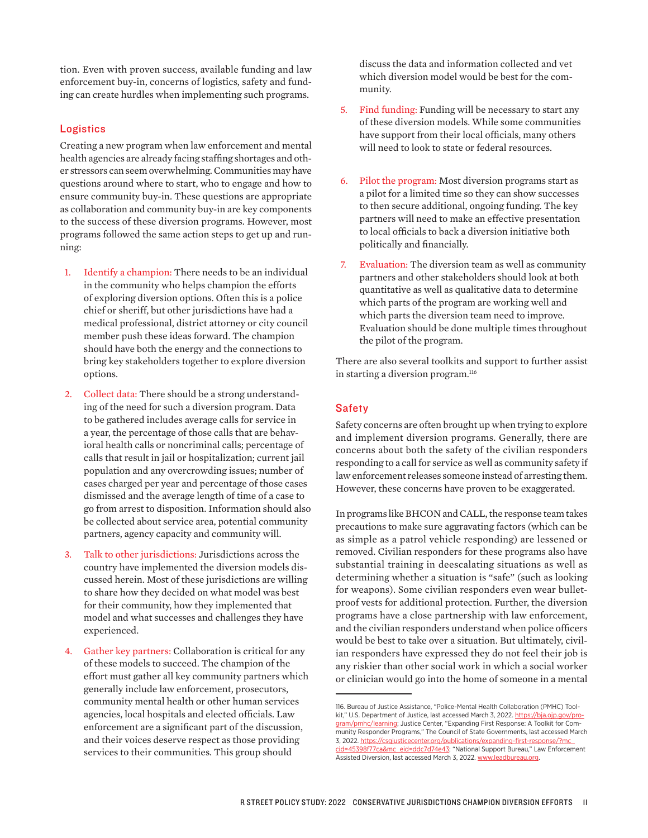tion. Even with proven success, available funding and law enforcement buy-in, concerns of logistics, safety and funding can create hurdles when implementing such programs.

### **Logistics**

Creating a new program when law enforcement and mental health agencies are already facing staffing shortages and other stressors can seem overwhelming. Communities may have questions around where to start, who to engage and how to ensure community buy-in. These questions are appropriate as collaboration and community buy-in are key components to the success of these diversion programs. However, most programs followed the same action steps to get up and running:

- 1. Identify a champion: There needs to be an individual in the community who helps champion the efforts of exploring diversion options. Often this is a police chief or sheriff, but other jurisdictions have had a medical professional, district attorney or city council member push these ideas forward. The champion should have both the energy and the connections to bring key stakeholders together to explore diversion options.
- 2. Collect data: There should be a strong understanding of the need for such a diversion program. Data to be gathered includes average calls for service in a year, the percentage of those calls that are behavioral health calls or noncriminal calls; percentage of calls that result in jail or hospitalization; current jail population and any overcrowding issues; number of cases charged per year and percentage of those cases dismissed and the average length of time of a case to go from arrest to disposition. Information should also be collected about service area, potential community partners, agency capacity and community will.
- 3. Talk to other jurisdictions: Jurisdictions across the country have implemented the diversion models discussed herein. Most of these jurisdictions are willing to share how they decided on what model was best for their community, how they implemented that model and what successes and challenges they have experienced.
- 4. Gather key partners: Collaboration is critical for any of these models to succeed. The champion of the effort must gather all key community partners which generally include law enforcement, prosecutors, community mental health or other human services agencies, local hospitals and elected officials. Law enforcement are a significant part of the discussion, and their voices deserve respect as those providing services to their communities. This group should

discuss the data and information collected and vet which diversion model would be best for the community.

- 5. Find funding: Funding will be necessary to start any of these diversion models. While some communities have support from their local officials, many others will need to look to state or federal resources.
- 6. Pilot the program: Most diversion programs start as a pilot for a limited time so they can show successes to then secure additional, ongoing funding. The key partners will need to make an effective presentation to local officials to back a diversion initiative both politically and financially.
- 7. Evaluation: The diversion team as well as community partners and other stakeholders should look at both quantitative as well as qualitative data to determine which parts of the program are working well and which parts the diversion team need to improve. Evaluation should be done multiple times throughout the pilot of the program.

There are also several toolkits and support to further assist in starting a diversion program.<sup>116</sup>

### **Safety**

Safety concerns are often brought up when trying to explore and implement diversion programs. Generally, there are concerns about both the safety of the civilian responders responding to a call for service as well as community safety if law enforcement releases someone instead of arresting them. However, these concerns have proven to be exaggerated.

In programs like BHCON and CALL, the response team takes precautions to make sure aggravating factors (which can be as simple as a patrol vehicle responding) are lessened or removed. Civilian responders for these programs also have substantial training in deescalating situations as well as determining whether a situation is "safe" (such as looking for weapons). Some civilian responders even wear bulletproof vests for additional protection. Further, the diversion programs have a close partnership with law enforcement, and the civilian responders understand when police officers would be best to take over a situation. But ultimately, civilian responders have expressed they do not feel their job is any riskier than other social work in which a social worker or clinician would go into the home of someone in a mental

<sup>116.</sup> Bureau of Justice Assistance, "Police-Mental Health Collaboration (PMHC) Toolkit," U.S. Department of Justice, last accessed March 3, 2022. [https://bja.ojp.gov/pro](https://bja.ojp.gov/program/pmhc/learning)[gram/pmhc/learning](https://bja.ojp.gov/program/pmhc/learning); Justice Center, "Expanding First Response: A Toolkit for Community Responder Programs," The Council of State Governments, last accessed March 3, 2022. [https://csgjusticecenter.org/publications/expanding-first-response/?mc\\_](https://csgjusticecenter.org/publications/expanding-first-response/?mc_cid=45398f77ca&mc_eid=ddc7d74e43) [cid=45398f77ca&mc\\_eid=ddc7d74e43;](https://csgjusticecenter.org/publications/expanding-first-response/?mc_cid=45398f77ca&mc_eid=ddc7d74e43) "National Support Bureau," Law Enforcement Assisted Diversion, last accessed March 3, 2022. [www.leadbureau.org](http://www.leadbureau.org).